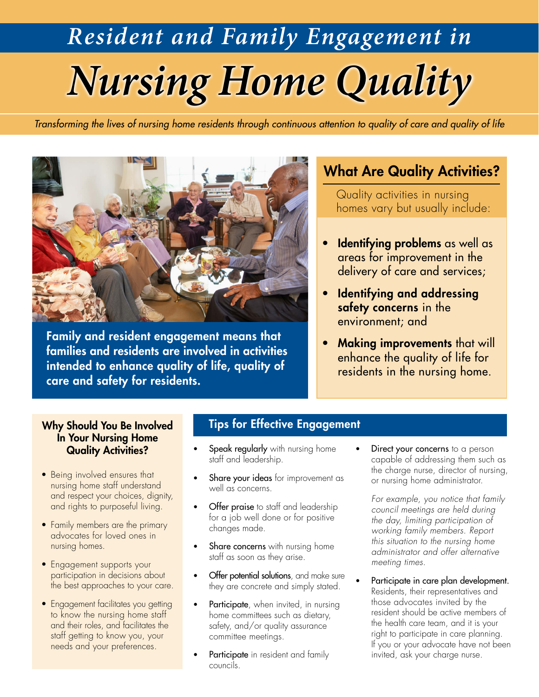# *Nursing Home Quality Resident and Family Engagement in*

*Transforming the lives of nursing home residents through continuous attention to quality of care and quality of life*



Family and resident engagement means that families and residents are involved in activities intended to enhance quality of life, quality of care and safety for residents.

### **What Are Quality Activities?**

Quality activities in nursing homes vary but usually include:

- **Identifying problems** as well as areas for improvement in the delivery of care and services;
- Identifying and addressing safety concerns in the environment; and
- Making improvements that will enhance the quality of life for residents in the nursing home.

### Why Should You Be Involved In Your Nursing Home Quality Activities?

- Being involved ensures that nursing home staff understand and respect your choices, dignity, and rights to purposeful living.
- Family members are the primary advocates for loved ones in nursing homes.
- Engagement supports your participation in decisions about the best approaches to your care.
- Engagement facilitates you getting to know the nursing home staff and their roles, and facilitates the staff getting to know you, your needs and your preferences.

### Tips for Effective Engagement

- Speak regularly with nursing home staff and leadership.
- Share your ideas for improvement as well as concerns.
- **Offer praise** to staff and leadership for a job well done or for positive changes made.
- Share concerns with nursing home staff as soon as they arise.
- Offer potential solutions, and make sure they are concrete and simply stated.
- Participate, when invited, in nursing home committees such as dietary, safety, and/or quality assurance committee meetings.
- Participate in resident and family councils.

Direct your concerns to a person capable of addressing them such as the charge nurse, director of nursing, or nursing home administrator.

*For example, you notice that family council meetings are held during the day, limiting participation of working family members. Report this situation to the nursing home administrator and offer alternative meeting times.* 

Participate in care plan development. Residents, their representatives and those advocates invited by the resident should be active members of the health care team, and it is your right to participate in care planning. If you or your advocate have not been invited, ask your charge nurse.